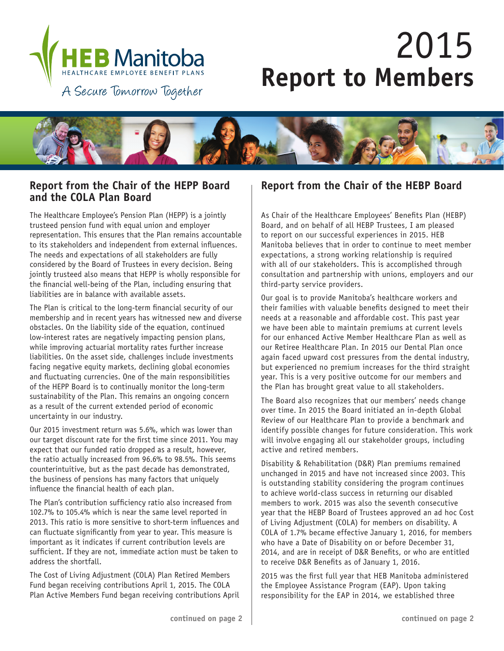

# 2015 **Report to Members**

A Secure Tomorrow Together



## **Report from the Chair of the HEPP Board and the COLA Plan Board**

The Healthcare Employee's Pension Plan (HEPP) is a jointly trusteed pension fund with equal union and employer representation. This ensures that the Plan remains accountable to its stakeholders and independent from external influences. The needs and expectations of all stakeholders are fully considered by the Board of Trustees in every decision. Being jointly trusteed also means that HEPP is wholly responsible for the financial well-being of the Plan, including ensuring that liabilities are in balance with available assets.

The Plan is critical to the long-term financial security of our membership and in recent years has witnessed new and diverse obstacles. On the liability side of the equation, continued low-interest rates are negatively impacting pension plans, while improving actuarial mortality rates further increase liabilities. On the asset side, challenges include investments facing negative equity markets, declining global economies and fluctuating currencies. One of the main responsibilities of the HEPP Board is to continually monitor the long-term sustainability of the Plan. This remains an ongoing concern as a result of the current extended period of economic uncertainty in our industry.

Our 2015 investment return was 5.6%, which was lower than our target discount rate for the first time since 2011. You may expect that our funded ratio dropped as a result, however, the ratio actually increased from 96.6% to 98.5%. This seems counterintuitive, but as the past decade has demonstrated, the business of pensions has many factors that uniquely influence the financial health of each plan.

The Plan's contribution sufficiency ratio also increased from 102.7% to 105.4% which is near the same level reported in 2013. This ratio is more sensitive to short-term influences and can fluctuate significantly from year to year. This measure is important as it indicates if current contribution levels are sufficient. If they are not, immediate action must be taken to address the shortfall.

The Cost of Living Adjustment (COLA) Plan Retired Members Fund began receiving contributions April 1, 2015. The COLA Plan Active Members Fund began receiving contributions April

## **Report from the Chair of the HEBP Board**

As Chair of the Healthcare Employees' Benefits Plan (HEBP) Board, and on behalf of all HEBP Trustees, I am pleased to report on our successful experiences in 2015. HEB Manitoba believes that in order to continue to meet member expectations, a strong working relationship is required with all of our stakeholders. This is accomplished through consultation and partnership with unions, employers and our third-party service providers.

Our goal is to provide Manitoba's healthcare workers and their families with valuable benefits designed to meet their needs at a reasonable and affordable cost. This past year we have been able to maintain premiums at current levels for our enhanced Active Member Healthcare Plan as well as our Retiree Healthcare Plan. In 2015 our Dental Plan once again faced upward cost pressures from the dental industry, but experienced no premium increases for the third straight year. This is a very positive outcome for our members and the Plan has brought great value to all stakeholders.

The Board also recognizes that our members' needs change over time. In 2015 the Board initiated an in-depth Global Review of our Healthcare Plan to provide a benchmark and identify possible changes for future consideration. This work will involve engaging all our stakeholder groups, including active and retired members.

Disability & Rehabilitation (D&R) Plan premiums remained unchanged in 2015 and have not increased since 2003. This is outstanding stability considering the program continues to achieve world-class success in returning our disabled members to work. 2015 was also the seventh consecutive year that the HEBP Board of Trustees approved an ad hoc Cost of Living Adjustment (COLA) for members on disability. A COLA of 1.7% became effective January 1, 2016, for members who have a Date of Disability on or before December 31, 2014, and are in receipt of D&R Benefits, or who are entitled to receive D&R Benefits as of January 1, 2016.

2015 was the first full year that HEB Manitoba administered the Employee Assistance Program (EAP). Upon taking responsibility for the EAP in 2014, we established three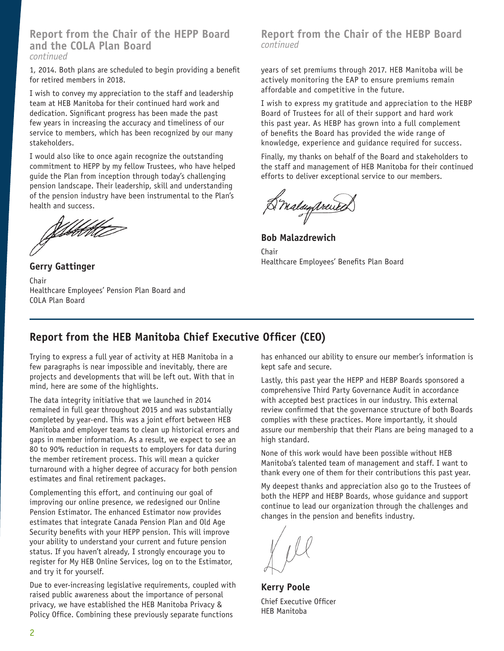### **Report from the Chair of the HEPP Board and the COLA Plan Board** *continued*

1, 2014. Both plans are scheduled to begin providing a benefit for retired members in 2018.

I wish to convey my appreciation to the staff and leadership team at HEB Manitoba for their continued hard work and dedication. Significant progress has been made the past few years in increasing the accuracy and timeliness of our service to members, which has been recognized by our many stakeholders.

I would also like to once again recognize the outstanding commitment to HEPP by my fellow Trustees, who have helped guide the Plan from inception through today's challenging pension landscape. Their leadership, skill and understanding of the pension industry have been instrumental to the Plan's health and success.

Gebbottet

**Gerry Gattinger** Chair Healthcare Employees' Pension Plan Board and COLA Plan Board

### **Report from the Chair of the HEBP Board** *continued*

years of set premiums through 2017. HEB Manitoba will be actively monitoring the EAP to ensure premiums remain affordable and competitive in the future.

I wish to express my gratitude and appreciation to the HEBP Board of Trustees for all of their support and hard work this past year. As HEBP has grown into a full complement of benefits the Board has provided the wide range of knowledge, experience and guidance required for success.

Finally, my thanks on behalf of the Board and stakeholders to the staff and management of HEB Manitoba for their continued efforts to deliver exceptional service to our members.

Briday prented

**Bob Malazdrewich Chair** Healthcare Employees' Benefits Plan Board

# **Report from the HEB Manitoba Chief Executive Officer (CEO)**

Trying to express a full year of activity at HEB Manitoba in a few paragraphs is near impossible and inevitably, there are projects and developments that will be left out. With that in mind, here are some of the highlights.

The data integrity initiative that we launched in 2014 remained in full gear throughout 2015 and was substantially completed by year-end. This was a joint effort between HEB Manitoba and employer teams to clean up historical errors and gaps in member information. As a result, we expect to see an 80 to 90% reduction in requests to employers for data during the member retirement process. This will mean a quicker turnaround with a higher degree of accuracy for both pension estimates and final retirement packages.

Complementing this effort, and continuing our goal of improving our online presence, we redesigned our Online Pension Estimator. The enhanced Estimator now provides estimates that integrate Canada Pension Plan and Old Age Security benefits with your HEPP pension. This will improve your ability to understand your current and future pension status. If you haven't already, I strongly encourage you to register for My HEB Online Services, log on to the Estimator, and try it for yourself.

Due to ever-increasing legislative requirements, coupled with raised public awareness about the importance of personal privacy, we have established the HEB Manitoba Privacy & Policy Office. Combining these previously separate functions

has enhanced our ability to ensure our member's information is kept safe and secure.

Lastly, this past year the HEPP and HEBP Boards sponsored a comprehensive Third Party Governance Audit in accordance with accepted best practices in our industry. This external review confirmed that the governance structure of both Boards complies with these practices. More importantly, it should assure our membership that their Plans are being managed to a high standard.

None of this work would have been possible without HEB Manitoba's talented team of management and staff. I want to thank every one of them for their contributions this past year.

My deepest thanks and appreciation also go to the Trustees of both the HEPP and HEBP Boards, whose guidance and support continue to lead our organization through the challenges and changes in the pension and benefits industry.

**Kerry Poole** Chief Executive Officer HEB Manitoba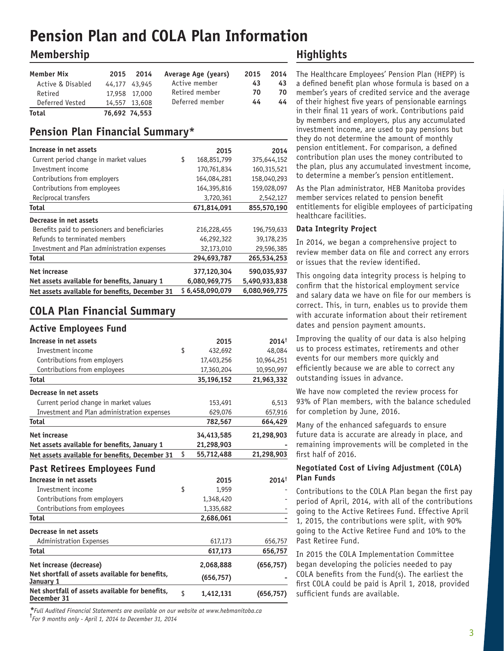# **Pension Plan and COLA Plan Information**

# **Membership**

| Member Mix<br>Active & Disabled<br>Retired | 2015 | 2014<br>44.177 43.945<br>17,958 17,000 | Average Age (years)<br>Active member<br>Retired member | 2015<br>43<br>70 | 2014<br>43<br>70 |
|--------------------------------------------|------|----------------------------------------|--------------------------------------------------------|------------------|------------------|
| Deferred Vested                            |      | 14,557 13,608                          | Deferred member                                        | 44               | 44               |
| <b>Total</b>                               |      | 76.692 74.553                          |                                                        |                  |                  |

# **Pension Plan Financial Summary\***

| Increase in net assets                         | 2015              | 2014          |
|------------------------------------------------|-------------------|---------------|
| Current period change in market values         | \$<br>168,851,799 | 375,644,152   |
| Investment income                              | 170,761,834       | 160,315,521   |
| Contributions from employers                   | 164,084,281       | 158,040,293   |
| Contributions from employees                   | 164,395,816       | 159,028,097   |
| Reciprocal transfers                           | 3,720,361         | 2,542,127     |
| Total                                          | 671,814,091       | 855,570,190   |
| Decrease in net assets                         |                   |               |
| Benefits paid to pensioners and beneficiaries  | 216,228,455       | 196,759,633   |
| Refunds to terminated members                  | 46,292,322        | 39,178,235    |
| Investment and Plan administration expenses    | 32,173,010        | 29,596,385    |
| Total                                          | 294,693,787       | 265,534,253   |
| Net increase                                   | 377,120,304       | 590,035,937   |
| Net assets available for benefits, January 1   | 6,080,969,775     | 5,490,933,838 |
| Net assets available for benefits, December 31 | \$6,458,090,079   | 6,080,969,775 |

# **COLA Plan Financial Summary**

### **Active Employees Fund**

| Increase in net assets                                         | 2015             | $2014^{\dagger}$ |
|----------------------------------------------------------------|------------------|------------------|
| Investment income                                              | \$<br>432,692    | 48,084           |
| Contributions from employers                                   | 17,403,256       | 10,964,251       |
| Contributions from employees                                   | 17,360,204       | 10,950,997       |
| <b>Total</b>                                                   | 35,196,152       | 21,963,332       |
| Decrease in net assets                                         |                  |                  |
| Current period change in market values                         | 153,491          | 6,513            |
| Investment and Plan administration expenses                    | 629,076          | 657,916          |
| <b>Total</b>                                                   | 782,567          | 664,429          |
| Net increase                                                   | 34,413,585       | 21,298,903       |
| Net assets available for benefits, January 1                   | 21,298,903       |                  |
| Net assets available for benefits, December 31                 | \$<br>55,712,488 | 21,298,903       |
| <b>Past Retirees Employees Fund</b>                            |                  |                  |
| Increase in net assets                                         | 2015             | $2014^{\dagger}$ |
| Investment income                                              | \$<br>1,959      |                  |
| Contributions from employers                                   | 1,348,420        |                  |
| Contributions from employees                                   | 1,335,682        |                  |
| <b>Total</b>                                                   | 2,686,061        |                  |
| Decrease in net assets                                         |                  |                  |
| <b>Administration Expenses</b>                                 | 617,173          | 656,757          |
| <b>Total</b>                                                   | 617,173          | 656,757          |
| Net increase (decrease)                                        | 2,068,888        | (656, 757)       |
| Net shortfall of assets available for benefits,<br>January 1   | (656, 757)       |                  |
| Net shortfall of assets available for benefits,<br>December 31 | \$<br>1,412,131  | (656, 757)       |

*\*Full Audited Financial Statements are available on our website at www.hebmanitoba.ca* **†** *For 9 months only - April 1, 2014 to December 31, 2014*

# **Highlights**

The Healthcare Employees' Pension Plan (HEPP) is a defined benefit plan whose formula is based on a member's years of credited service and the average of their highest five years of pensionable earnings in their final 11 years of work. Contributions paid by members and employers, plus any accumulated investment income, are used to pay pensions but they do not determine the amount of monthly pension entitlement. For comparison, a defined contribution plan uses the money contributed to the plan, plus any accumulated investment income, to determine a member's pension entitlement.

As the Plan administrator, HEB Manitoba provides member services related to pension benefit entitlements for eligible employees of participating healthcare facilities.

#### **Data Integrity Project**

In 2014, we began a comprehensive project to review member data on file and correct any errors or issues that the review identified.

This ongoing data integrity process is helping to confirm that the historical employment service and salary data we have on file for our members is correct. This, in turn, enables us to provide them with accurate information about their retirement dates and pension payment amounts.

Improving the quality of our data is also helping us to process estimates, retirements and other events for our members more quickly and efficiently because we are able to correct any outstanding issues in advance.

We have now completed the review process for 93% of Plan members, with the balance scheduled for completion by June, 2016.

Many of the enhanced safeguards to ensure future data is accurate are already in place, and remaining improvements will be completed in the first half of 2016.

### **Negotiated Cost of Living Adjustment (COLA) Plan Funds**

Contributions to the COLA Plan began the first pay period of April, 2014, with all of the contributions going to the Active Retirees Fund. Effective April 1, 2015, the contributions were split, with 90% going to the Active Retiree Fund and 10% to the Past Retiree Fund.

In 2015 the COLA Implementation Committee began developing the policies needed to pay COLA benefits from the Fund(s). The earliest the first COLA could be paid is April 1, 2018, provided sufficient funds are available.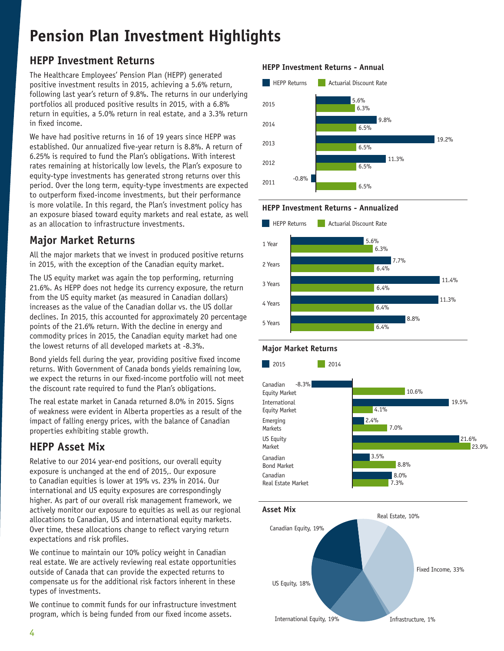# **Pension Plan Investment Highlights**

# **HEPP Investment Returns**

The Healthcare Employees' Pension Plan (HEPP) generated positive investment results in 2015, achieving a 5.6% return, following last year's return of 9.8%. The returns in our underlying portfolios all produced positive results in 2015, with a 6.8% return in equities, a 5.0% return in real estate, and a 3.3% return in fixed income.

We have had positive returns in 16 of 19 years since HEPP was established. Our annualized five-year return is 8.8%. A return of 6.25% is required to fund the Plan's obligations. With interest rates remaining at historically low levels, the Plan's exposure to equity-type investments has generated strong returns over this period. Over the long term, equity-type investments are expected to outperform fixed-income investments, but their performance is more volatile. In this regard, the Plan's investment policy has an exposure biased toward equity markets and real estate, as well as an allocation to infrastructure investments.

# **Major Market Returns**

All the major markets that we invest in produced positive returns in 2015, with the exception of the Canadian equity market.

The US equity market was again the top performing, returning 21.6%. As HEPP does not hedge its currency exposure, the return from the US equity market (as measured in Canadian dollars) increases as the value of the Canadian dollar vs. the US dollar declines. In 2015, this accounted for approximately 20 percentage points of the 21.6% return. With the decline in energy and commodity prices in 2015, the Canadian equity market had one the lowest returns of all developed markets at -8.3%.

Bond yields fell during the year, providing positive fixed income returns. With Government of Canada bonds yields remaining low, we expect the returns in our fixed-income portfolio will not meet the discount rate required to fund the Plan's obligations.

The real estate market in Canada returned 8.0% in 2015. Signs of weakness were evident in Alberta properties as a result of the impact of falling energy prices, with the balance of Canadian properties exhibiting stable growth.

# **HEPP Asset Mix**

Relative to our 2014 year-end positions, our overall equity exposure is unchanged at the end of 2015,. Our exposure to Canadian equities is lower at 19% vs. 23% in 2014. Our international and US equity exposures are correspondingly higher. As part of our overall risk management framework, we actively monitor our exposure to equities as well as our regional allocations to Canadian, US and international equity markets. Over time, these allocations change to reflect varying return expectations and risk profiles.

We continue to maintain our 10% policy weight in Canadian real estate. We are actively reviewing real estate opportunities outside of Canada that can provide the expected returns to compensate us for the additional risk factors inherent in these types of investments.

We continue to commit funds for our infrastructure investment program, which is being funded from our fixed income assets.

### **HEPP Investment Returns - Annual**









### **Major Market Returns**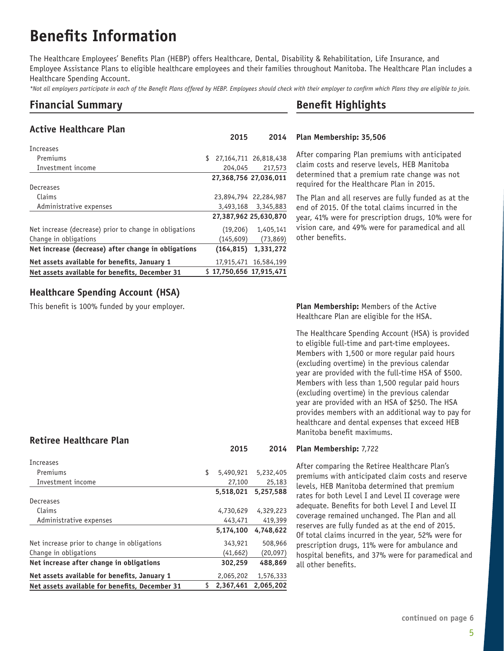# **Benefits Information**

The Healthcare Employees' Benefits Plan (HEBP) offers Healthcare, Dental, Disability & Rehabilitation, Life Insurance, and Employee Assistance Plans to eligible healthcare employees and their families throughout Manitoba. The Healthcare Plan includes a Healthcare Spending Account.

*\*Not all employers participate in each of the Benefit Plans offered by HEBP. Employees should check with their employer to confirm which Plans they are eligible to join.*

# **Financial Summary**

### **Active Healthcare Plan**

| Increases                                              |                         |                       |
|--------------------------------------------------------|-------------------------|-----------------------|
| Premiums                                               | \$                      | 27,164,711 26,818,438 |
| Investment income                                      | 204,045                 | 217,573               |
|                                                        | 27,368,756 27,036,011   |                       |
| Decreases                                              |                         |                       |
| Claims                                                 |                         | 23,894,794 22,284,987 |
| Administrative expenses                                |                         | 3,493,168 3,345,883   |
|                                                        |                         | 27,387,962 25,630,870 |
| Net increase (decrease) prior to change in obligations | (19, 206)               | 1,405,141             |
| Change in obligations                                  | (145,609)               | (73, 869)             |
| Net increase (decrease) after change in obligations    | (164, 815)              | 1,331,272             |
| Net assets available for benefits, January 1           |                         | 17,915,471 16,584,199 |
| Net assets available for benefits, December 31         | \$17.750.656 17.915.471 |                       |

# **Benefit Highlights**

#### **Plan Membership: 35,506 2015 2014**

After comparing Plan premiums with anticipated claim costs and reserve levels, HEB Manitoba determined that a premium rate change was not required for the Healthcare Plan in 2015.

The Plan and all reserves are fully funded as at the end of 2015. Of the total claims incurred in the year, 41% were for prescription drugs, 10% were for vision care, and 49% were for paramedical and all other benefits.

### **Healthcare Spending Account (HSA)**

This benefit is 100% funded by your employer.

### **Retiree Healthcare Plan**

| Increases                                      |                 |           |
|------------------------------------------------|-----------------|-----------|
| Premiums                                       | \$<br>5,490,921 | 5,232,405 |
| Investment income                              | 27,100          | 25,183    |
|                                                | 5,518,021       | 5.257.588 |
| Decreases                                      |                 |           |
| Claims                                         | 4,730,629       | 4,329,223 |
| Administrative expenses                        | 443,471         | 419,399   |
|                                                | 5,174,100       | 4,748,622 |
| Net increase prior to change in obligations    | 343,921         | 508,966   |
| Change in obligations                          | (41,662)        | (20, 097) |
| Net increase after change in obligations       | 302,259         | 488,869   |
| Net assets available for benefits, January 1   | 2,065,202       | 1,576,333 |
| Net assets available for benefits, December 31 | \$<br>2,367,461 | 2,065,202 |
|                                                |                 |           |

**Plan Membership:** Members of the Active Healthcare Plan are eligible for the HSA.

The Healthcare Spending Account (HSA) is provided to eligible full-time and part-time employees. Members with 1,500 or more regular paid hours (excluding overtime) in the previous calendar year are provided with the full-time HSA of \$500. Members with less than 1,500 regular paid hours (excluding overtime) in the previous calendar year are provided with an HSA of \$250. The HSA provides members with an additional way to pay for healthcare and dental expenses that exceed HEB Manitoba benefit maximums.

#### **Plan Membership:** 7,722 **2015 2014**

After comparing the Retiree Healthcare Plan's premiums with anticipated claim costs and reserve levels, HEB Manitoba determined that premium rates for both Level I and Level II coverage were adequate. Benefits for both Level I and Level II coverage remained unchanged. The Plan and all reserves are fully funded as at the end of 2015. Of total claims incurred in the year, 52% were for prescription drugs, 11% were for ambulance and hospital benefits, and 37% were for paramedical and all other benefits.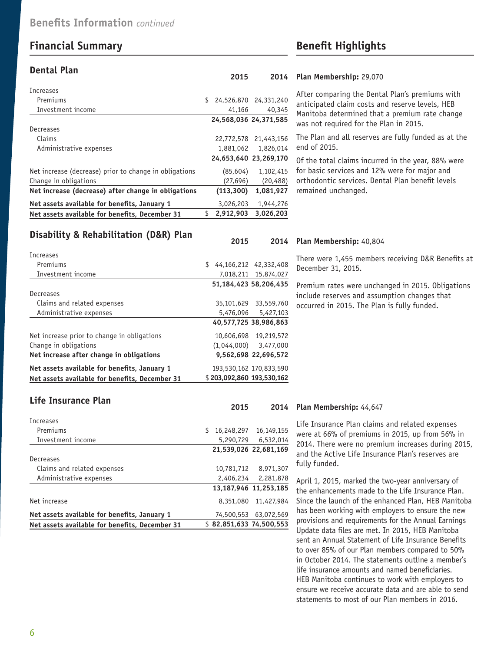# **Financial Summary Benefit Highlights**

#### **Dental Plan**

| Increases                                              |                             |                       |
|--------------------------------------------------------|-----------------------------|-----------------------|
| Premiums                                               | \$<br>24,526,870 24,331,240 |                       |
| Investment income                                      | 41,166                      | 40,345                |
|                                                        | 24,568,036 24,371,585       |                       |
| Decreases                                              |                             |                       |
| Claims                                                 |                             | 22,772,578 21,443,156 |
| Administrative expenses                                | 1,881,062                   | 1,826,014             |
|                                                        | 24,653,640 23,269,170       |                       |
| Net increase (decrease) prior to change in obligations | (85, 604)                   | 1,102,415             |
| Change in obligations                                  | (27,696)                    | (20, 488)             |
| Net increase (decrease) after change in obligations    | (113, 300)                  | 1,081,927             |
| Net assets available for benefits, January 1           | 3,026,203                   | 1,944,276             |
| Net assets available for benefits, December 31         | \$<br>2.912.903             | 3.026.203             |

#### **Plan Membership:** 29,070 **2015 2014**

After comparing the Dental Plan's premiums with anticipated claim costs and reserve levels, HEB Manitoba determined that a premium rate change was not required for the Plan in 2015.

The Plan and all reserves are fully funded as at the end of 2015.

Of the total claims incurred in the year, 88% were for basic services and 12% were for major and orthodontic services. Dental Plan benefit levels remained unchanged.

### **Disability & Rehabilitation (D&R) Plan**

| Net assets available for benefits, December 31 |     | \$203.092.860 193.530.162 |
|------------------------------------------------|-----|---------------------------|
| Net assets available for benefits, January 1   |     | 193,530,162 170,833,590   |
| Net increase after change in obligations       |     | 9,562,698 22,696,572      |
| Change in obligations                          |     | $(1,044,000)$ $3,477,000$ |
| Net increase prior to change in obligations    |     | 10.606.698 19.219.572     |
|                                                |     | 40,577,725 38,986,863     |
| Administrative expenses                        |     | 5,476,096 5,427,103       |
| Claims and related expenses                    |     | 35,101,629 33,559,760     |
| Decreases                                      |     |                           |
|                                                |     | 51,184,423 58,206,435     |
| Investment income                              |     | 7.018.211 15.874.027      |
| Premiums                                       | \$. | 44,166,212 42,332,408     |
| Increases                                      |     |                           |

### **Plan Membership:** 40,804 **2015 2014**

There were 1,455 members receiving D&R Benefits at December 31, 2015.

Premium rates were unchanged in 2015. Obligations include reserves and assumption changes that occurred in 2015. The Plan is fully funded.

### **Life Insurance Plan**

| <b>Increases</b>                               |            |                         |
|------------------------------------------------|------------|-------------------------|
| Premiums                                       | 16,248,297 | 16,149,155              |
| Investment income                              | 5,290,729  | 6,532,014               |
|                                                |            | 21.539.026 22.681.169   |
| Decreases                                      |            |                         |
| Claims and related expenses                    | 10,781,712 | 8,971,307               |
| Administrative expenses                        | 2,406,234  | 2,281,878               |
|                                                |            | 13,187,946 11,253,185   |
| Net increase                                   | 8,351,080  | 11,427,984              |
| Net assets available for benefits, January 1   | 74,500,553 | 63,072,569              |
| Net assets available for benefits, December 31 |            | \$82,851,633 74,500,553 |

#### **Plan Membership:** 44,647 **2015 2014**

Life Insurance Plan claims and related expenses were at 66% of premiums in 2015, up from 56% in 2014. There were no premium increases during 2015, and the Active Life Insurance Plan's reserves are fully funded.

April 1, 2015, marked the two-year anniversary of the enhancements made to the Life Insurance Plan. Since the launch of the enhanced Plan, HEB Manitoba has been working with employers to ensure the new provisions and requirements for the Annual Earnings Update data files are met. In 2015, HEB Manitoba sent an Annual Statement of Life Insurance Benefits to over 85% of our Plan members compared to 50% in October 2014. The statements outline a member's life insurance amounts and named beneficiaries. HEB Manitoba continues to work with employers to ensure we receive accurate data and are able to send statements to most of our Plan members in 2016.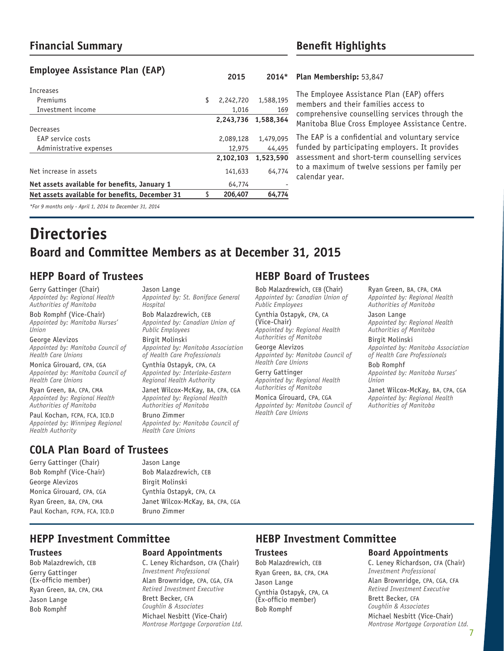# **Financial Summary Benefit Highlights**

## **Employee Assistance Plan (EAP)**

| Increases                                               |                 |           |
|---------------------------------------------------------|-----------------|-----------|
| Premiums                                                | \$<br>2,242,720 | 1,588,195 |
| Investment income                                       | 1.016           | 169       |
|                                                         | 2,243,736       | 1,588,364 |
| Decreases                                               |                 |           |
| EAP service costs                                       | 2,089,128       | 1,479,095 |
| Administrative expenses                                 | 12,975          | 44,495    |
|                                                         | 2.102.103       | 1,523,590 |
| Net increase in assets                                  | 141,633         | 64,774    |
| Net assets available for benefits, January 1            | 64,774          | ٠         |
| Net assets available for benefits, December 31          | 206,407         | 64,774    |
| *For 9 months only - April 1, 2014 to December 31, 2014 |                 |           |

#### **Plan Membership:** 53,847 **2015 2014\***

The Employee Assistance Plan (EAP) offers members and their families access to comprehensive counselling services through the Manitoba Blue Cross Employee Assistance Centre.

The EAP is a confidential and voluntary service funded by participating employers. It provides assessment and short-term counselling services to a maximum of twelve sessions per family per calendar year.

# **Directories Board and Committee Members as at December 31, 2015**

# **HEPP Board of Trustees HEBP Board of Trustees**

Gerry Gattinger (Chair) *Appointed by: Regional Health Authorities of Manitoba*

Bob Romphf (Vice-Chair) *Appointed by: Manitoba Nurses' Union*

George Alevizos *Appointed by: Manitoba Council of Health Care Unions* 

Monica Girouard, CPA, CGA *Appointed by: Manitoba Council of Health Care Unions*

Ryan Green, BA, CPA, CMA *Appointed by: Regional Health Authorities of Manitoba*

Paul Kochan, FCPA, FCA, ICD.D *Appointed by: Winnipeg Regional Health Authority*

## **COLA Plan Board of Trustees**

Gerry Gattinger (Chair) Bob Romphf (Vice-Chair) George Alevizos Monica Girouard, CPA, CGA Ryan Green, BA, CPA, CMA Paul Kochan, FCPA, FCA, ICD.D Jason Lange *Appointed by: St. Boniface General Hospital*

Bob Malazdrewich, CEB *Appointed by: Canadian Union of Public Employees* Birgit Molinski

*Appointed by: Manitoba Association of Health Care Professionals*

Cynthia Ostapyk, CPA, CA *Appointed by: Interlake-Eastern Regional Health Authority*

Janet Wilcox-McKay, BA, CPA, CGA *Appointed by: Regional Health Authorities of Manitoba*

Bruno Zimmer *Appointed by: Manitoba Council of Health Care Unions*

Bob Malazdrewich, CEB (Chair) *Appointed by: Canadian Union of Public Employees* 

Cynthia Ostapyk, CPA, CA (Vice-Chair) *Appointed by: Regional Health Authorities of Manitoba*

George Alevizos *Appointed by: Manitoba Council of Health Care Unions* 

Gerry Gattinger *Appointed by: Regional Health Authorities of Manitoba*

Monica Girouard, CPA, CGA *Appointed by: Manitoba Council of Health Care Unions*

Ryan Green, BA, CPA, CMA *Appointed by: Regional Health Authorities of Manitoba*

Jason Lange *Appointed by: Regional Health Authorities of Manitoba*

Birgit Molinski *Appointed by: Manitoba Association of Health Care Professionals*

Bob Romphf *Appointed by: Manitoba Nurses' Union*

Janet Wilcox-McKay, BA, CPA, CGA *Appointed by: Regional Health Authorities of Manitoba*

Birgit Molinski Cynthia Ostapyk, CPA, CA Janet Wilcox-McKay, BA, CPA, CGA Bruno Zimmer

Bob Malazdrewich, CEB

Jason Lange

#### **Trustees**

Bob Malazdrewich, CEB Gerry Gattinger (Ex-officio member) Ryan Green, BA, CPA, CMA Jason Lange Bob Romphf

### **Board Appointments**

C. Leney Richardson, CFA (Chair) *Investment Professional*  Alan Brownridge, CPA, CGA, CFA *Retired Investment Executive* Brett Becker, CFA *Coughlin & Associates* Michael Nesbitt (Vice-Chair) *Montrose Mortgage Corporation Ltd.*

# **HEPP Investment Committee HEBP Investment Committee**

#### **Trustees**

Bob Malazdrewich, CEB Ryan Green, BA, CPA, CMA Jason Lange Cynthia Ostapyk, CPA, CA (Ex-officio member) Bob Romphf

#### **Board Appointments**

C. Leney Richardson, CFA (Chair) *Investment Professional* 

Alan Brownridge, CPA, CGA, CFA *Retired Investment Executive* Brett Becker, CFA *Coughlin & Associates*

7 Michael Nesbitt (Vice-Chair) *Montrose Mortgage Corporation Ltd.*